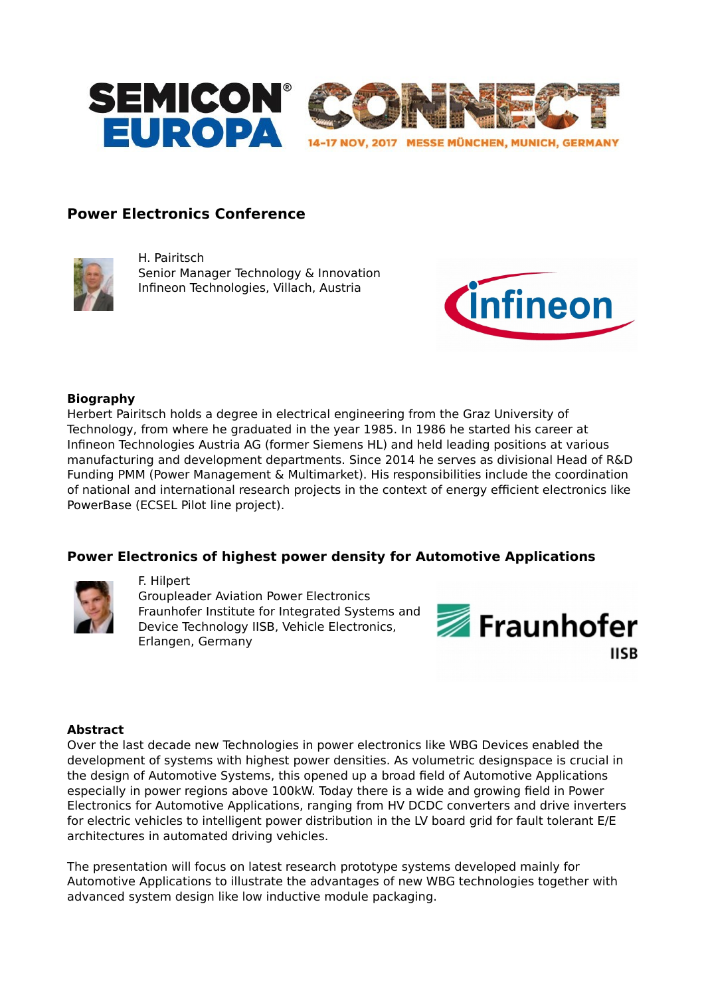

# **Power Electronics Conference**



H. Pairitsch Senior Manager Technology & Innovation Infineon Technologies, Villach, Austria



### **Biography**

Herbert Pairitsch holds a degree in electrical engineering from the Graz University of Technology, from where he graduated in the year 1985. In 1986 he started his career at Infineon Technologies Austria AG (former Siemens HL) and held leading positions at various manufacturing and development departments. Since 2014 he serves as divisional Head of R&D Funding PMM (Power Management & Multimarket). His responsibilities include the coordination of national and international research projects in the context of energy efficient electronics like PowerBase (ECSEL Pilot line project).

## **Power Electronics of highest power density for Automotive Applications**



#### F. Hilpert

Groupleader Aviation Power Electronics Fraunhofer Institute for Integrated Systems and Device Technology IISB, Vehicle Electronics, Erlangen, Germany



### **Abstract**

Over the last decade new Technologies in power electronics like WBG Devices enabled the development of systems with highest power densities. As volumetric designspace is crucial in the design of Automotive Systems, this opened up a broad field of Automotive Applications especially in power regions above 100kW. Today there is a wide and growing field in Power Electronics for Automotive Applications, ranging from HV DCDC converters and drive inverters for electric vehicles to intelligent power distribution in the LV board grid for fault tolerant E/E architectures in automated driving vehicles.

The presentation will focus on latest research prototype systems developed mainly for Automotive Applications to illustrate the advantages of new WBG technologies together with advanced system design like low inductive module packaging.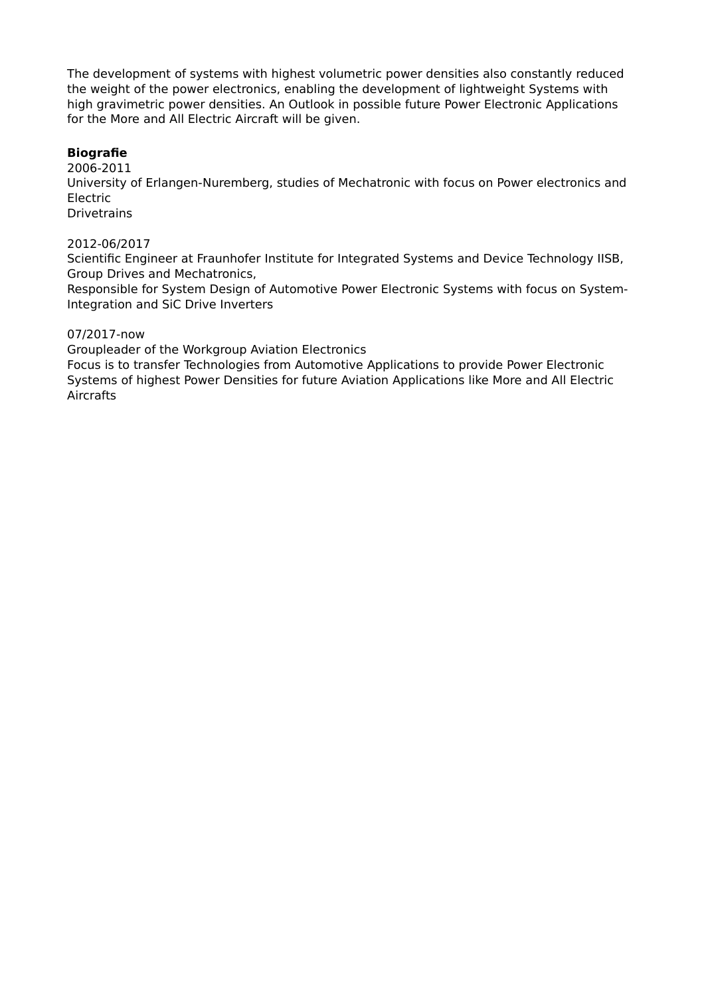The development of systems with highest volumetric power densities also constantly reduced the weight of the power electronics, enabling the development of lightweight Systems with high gravimetric power densities. An Outlook in possible future Power Electronic Applications for the More and All Electric Aircraft will be given.

## **Biografie**

2006-2011

University of Erlangen-Nuremberg, studies of Mechatronic with focus on Power electronics and Electric

**Drivetrains** 

## 2012-06/2017

Scientific Engineer at Fraunhofer Institute for Integrated Systems and Device Technology IISB, Group Drives and Mechatronics,

Responsible for System Design of Automotive Power Electronic Systems with focus on System-Integration and SiC Drive Inverters

### 07/2017-now

Groupleader of the Workgroup Aviation Electronics

Focus is to transfer Technologies from Automotive Applications to provide Power Electronic Systems of highest Power Densities for future Aviation Applications like More and All Electric Aircrafts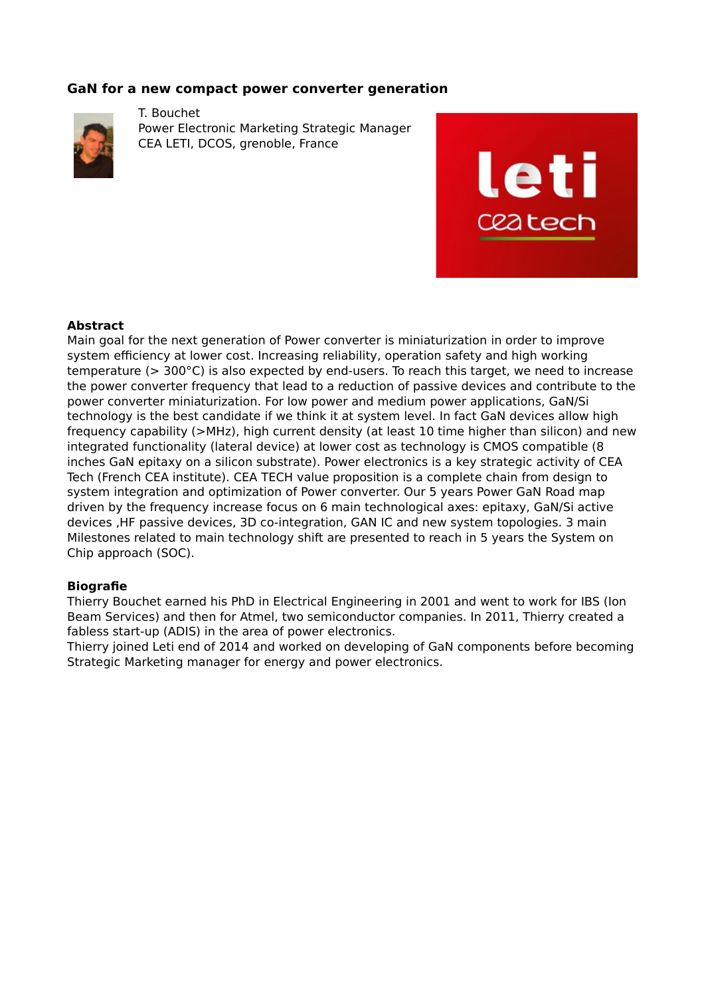## **GaN for a new compact power converter generation**



T. Bouchet Power Electronic Marketing Strategic Manager CEA LETI, DCOS, grenoble, France



### **Abstract**

Main goal for the next generation of Power converter is miniaturization in order to improve system efficiency at lower cost. Increasing reliability, operation safety and high working temperature (> 300°C) is also expected by end-users. To reach this target, we need to increase the power converter frequency that lead to a reduction of passive devices and contribute to the power converter miniaturization. For low power and medium power applications, GaN/Si technology is the best candidate if we think it at system level. In fact GaN devices allow high frequency capability (>MHz), high current density (at least 10 time higher than silicon) and new integrated functionality (lateral device) at lower cost as technology is CMOS compatible (8 inches GaN epitaxy on a silicon substrate). Power electronics is a key strategic activity of CEA Tech (French CEA institute). CEA TECH value proposition is a complete chain from design to system integration and optimization of Power converter. Our 5 years Power GaN Road map driven by the frequency increase focus on 6 main technological axes: epitaxy, GaN/Si active devices ,HF passive devices, 3D co-integration, GAN IC and new system topologies. 3 main Milestones related to main technology shift are presented to reach in 5 years the System on Chip approach (SOC).

### **Biografie**

Thierry Bouchet earned his PhD in Electrical Engineering in 2001 and went to work for IBS (Ion Beam Services) and then for Atmel, two semiconductor companies. In 2011, Thierry created a fabless start-up (ADIS) in the area of power electronics.

Thierry joined Leti end of 2014 and worked on developing of GaN components before becoming Strategic Marketing manager for energy and power electronics.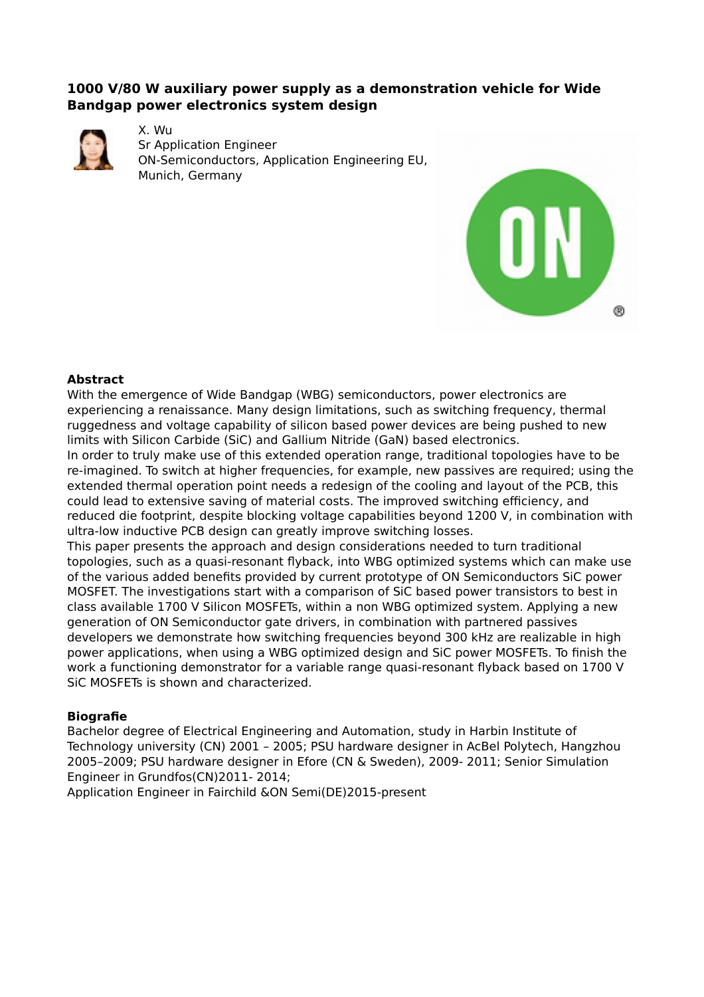# **1000 V/80 W auxiliary power supply as a demonstration vehicle for Wide Bandgap power electronics system design**



X. Wu Sr Application Engineer ON-Semiconductors, Application Engineering EU, Munich, Germany



## **Abstract**

With the emergence of Wide Bandgap (WBG) semiconductors, power electronics are experiencing a renaissance. Many design limitations, such as switching frequency, thermal ruggedness and voltage capability of silicon based power devices are being pushed to new limits with Silicon Carbide (SiC) and Gallium Nitride (GaN) based electronics.

In order to truly make use of this extended operation range, traditional topologies have to be re-imagined. To switch at higher frequencies, for example, new passives are required; using the extended thermal operation point needs a redesign of the cooling and layout of the PCB, this could lead to extensive saving of material costs. The improved switching efficiency, and reduced die footprint, despite blocking voltage capabilities beyond 1200 V, in combination with ultra-low inductive PCB design can greatly improve switching losses.

This paper presents the approach and design considerations needed to turn traditional topologies, such as a quasi-resonant flyback, into WBG optimized systems which can make use of the various added benefits provided by current prototype of ON Semiconductors SiC power MOSFET. The investigations start with a comparison of SiC based power transistors to best in class available 1700 V Silicon MOSFETs, within a non WBG optimized system. Applying a new generation of ON Semiconductor gate drivers, in combination with partnered passives developers we demonstrate how switching frequencies beyond 300 kHz are realizable in high power applications, when using a WBG optimized design and SiC power MOSFETs. To finish the work a functioning demonstrator for a variable range quasi-resonant flyback based on 1700 V SiC MOSFETs is shown and characterized.

### **Biografie**

Bachelor degree of Electrical Engineering and Automation, study in Harbin Institute of Technology university (CN) 2001 – 2005; PSU hardware designer in AcBel Polytech, Hangzhou 2005–2009; PSU hardware designer in Efore (CN & Sweden), 2009- 2011; Senior Simulation Engineer in Grundfos(CN)2011- 2014;

Application Engineer in Fairchild &ON Semi(DE)2015-present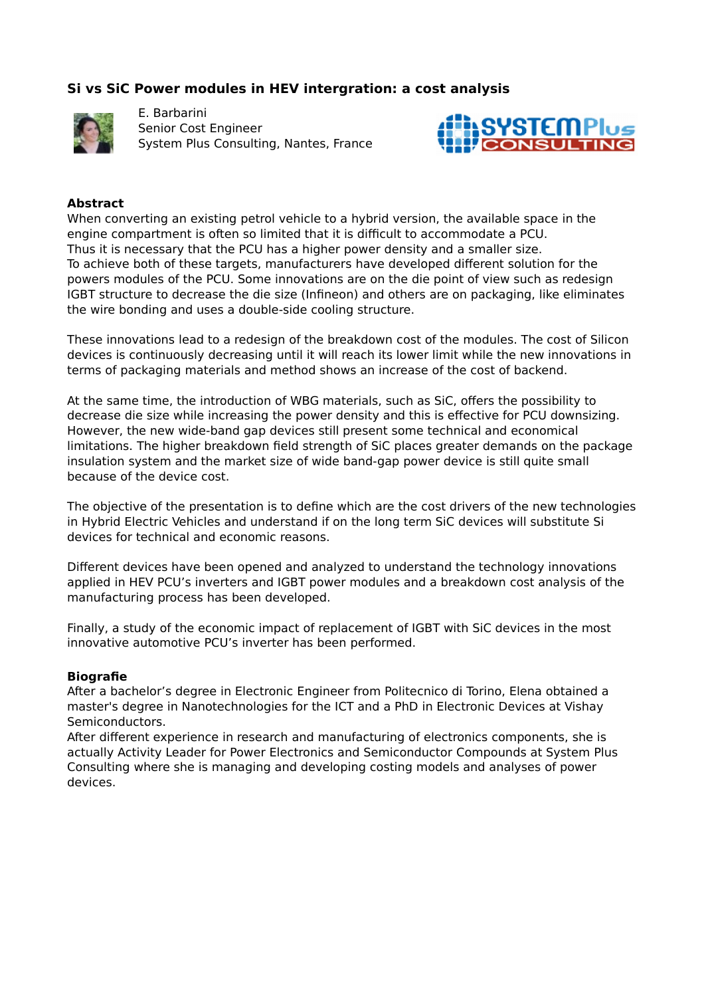# **Si vs SiC Power modules in HEV intergration: a cost analysis**



E. Barbarini Senior Cost Engineer System Plus Consulting, Nantes, France



### **Abstract**

When converting an existing petrol vehicle to a hybrid version, the available space in the engine compartment is often so limited that it is difficult to accommodate a PCU. Thus it is necessary that the PCU has a higher power density and a smaller size. To achieve both of these targets, manufacturers have developed different solution for the powers modules of the PCU. Some innovations are on the die point of view such as redesign IGBT structure to decrease the die size (Infineon) and others are on packaging, like eliminates the wire bonding and uses a double-side cooling structure.

These innovations lead to a redesign of the breakdown cost of the modules. The cost of Silicon devices is continuously decreasing until it will reach its lower limit while the new innovations in terms of packaging materials and method shows an increase of the cost of backend.

At the same time, the introduction of WBG materials, such as SiC, offers the possibility to decrease die size while increasing the power density and this is effective for PCU downsizing. However, the new wide-band gap devices still present some technical and economical limitations. The higher breakdown field strength of SiC places greater demands on the package insulation system and the market size of wide band-gap power device is still quite small because of the device cost.

The objective of the presentation is to define which are the cost drivers of the new technologies in Hybrid Electric Vehicles and understand if on the long term SiC devices will substitute Si devices for technical and economic reasons.

Different devices have been opened and analyzed to understand the technology innovations applied in HEV PCU's inverters and IGBT power modules and a breakdown cost analysis of the manufacturing process has been developed.

Finally, a study of the economic impact of replacement of IGBT with SiC devices in the most innovative automotive PCU's inverter has been performed.

### **Biografie**

After a bachelor's degree in Electronic Engineer from Politecnico di Torino, Elena obtained a master's degree in Nanotechnologies for the ICT and a PhD in Electronic Devices at Vishay Semiconductors.

After different experience in research and manufacturing of electronics components, she is actually Activity Leader for Power Electronics and Semiconductor Compounds at System Plus Consulting where she is managing and developing costing models and analyses of power devices.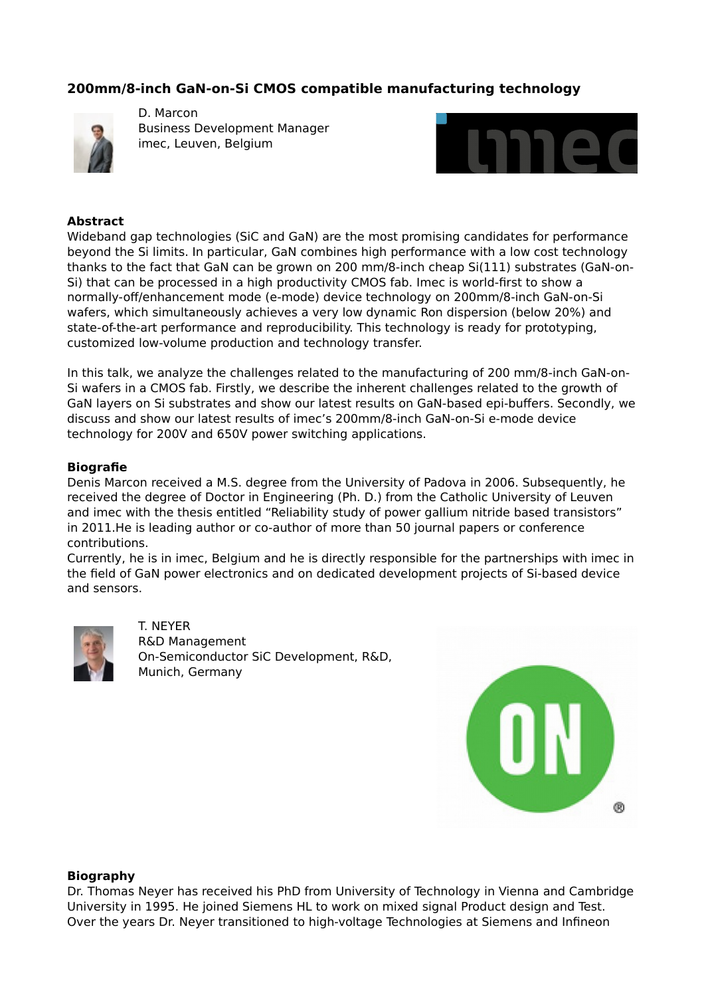# **200mm/8-inch GaN-on-Si CMOS compatible manufacturing technology**



D. Marcon Business Development Manager imec, Leuven, Belgium



### **Abstract**

Wideband gap technologies (SiC and GaN) are the most promising candidates for performance beyond the Si limits. In particular, GaN combines high performance with a low cost technology thanks to the fact that GaN can be grown on 200 mm/8-inch cheap Si(111) substrates (GaN-on-Si) that can be processed in a high productivity CMOS fab. Imec is world-first to show a normally-off/enhancement mode (e-mode) device technology on 200mm/8-inch GaN-on-Si wafers, which simultaneously achieves a very low dynamic Ron dispersion (below 20%) and state-of-the-art performance and reproducibility. This technology is ready for prototyping, customized low-volume production and technology transfer.

In this talk, we analyze the challenges related to the manufacturing of 200 mm/8-inch GaN-on-Si wafers in a CMOS fab. Firstly, we describe the inherent challenges related to the growth of GaN layers on Si substrates and show our latest results on GaN-based epi-buffers. Secondly, we discuss and show our latest results of imec's 200mm/8-inch GaN-on-Si e-mode device technology for 200V and 650V power switching applications.

### **Biografie**

Denis Marcon received a M.S. degree from the University of Padova in 2006. Subsequently, he received the degree of Doctor in Engineering (Ph. D.) from the Catholic University of Leuven and imec with the thesis entitled "Reliability study of power gallium nitride based transistors" in 2011.He is leading author or co-author of more than 50 journal papers or conference contributions.

Currently, he is in imec, Belgium and he is directly responsible for the partnerships with imec in the field of GaN power electronics and on dedicated development projects of Si-based device and sensors.



T. NEYER R&D Management On-Semiconductor SiC Development, R&D, Munich, Germany



### **Biography**

Dr. Thomas Neyer has received his PhD from University of Technology in Vienna and Cambridge University in 1995. He joined Siemens HL to work on mixed signal Product design and Test. Over the years Dr. Neyer transitioned to high-voltage Technologies at Siemens and Infineon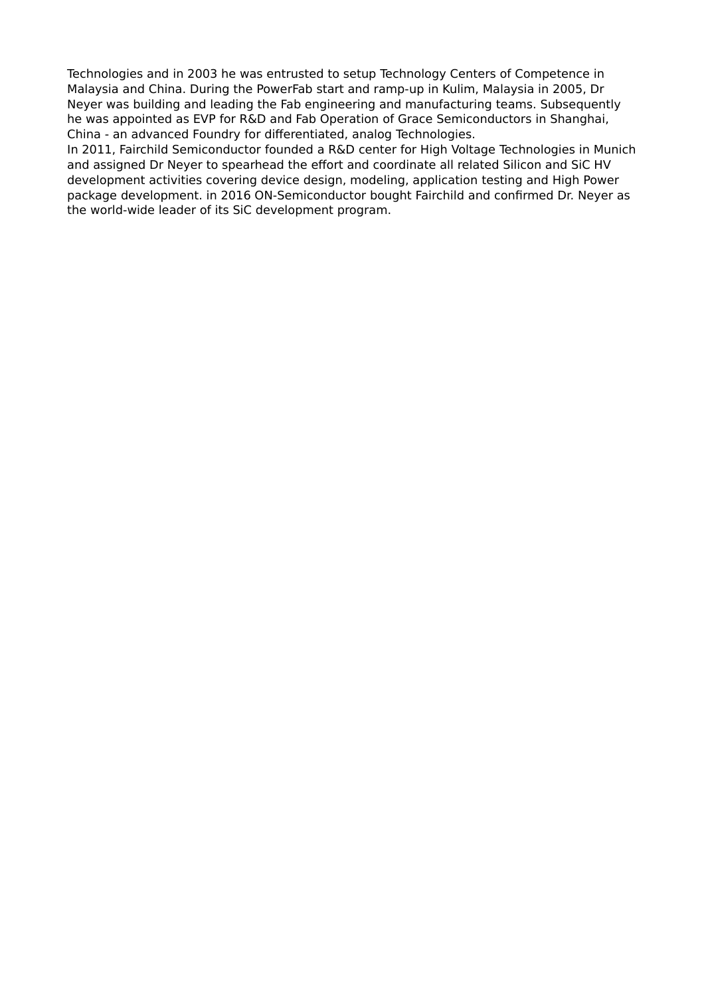Technologies and in 2003 he was entrusted to setup Technology Centers of Competence in Malaysia and China. During the PowerFab start and ramp-up in Kulim, Malaysia in 2005, Dr Neyer was building and leading the Fab engineering and manufacturing teams. Subsequently he was appointed as EVP for R&D and Fab Operation of Grace Semiconductors in Shanghai, China - an advanced Foundry for differentiated, analog Technologies.

In 2011, Fairchild Semiconductor founded a R&D center for High Voltage Technologies in Munich and assigned Dr Neyer to spearhead the effort and coordinate all related Silicon and SiC HV development activities covering device design, modeling, application testing and High Power package development. in 2016 ON-Semiconductor bought Fairchild and confirmed Dr. Neyer as the world-wide leader of its SiC development program.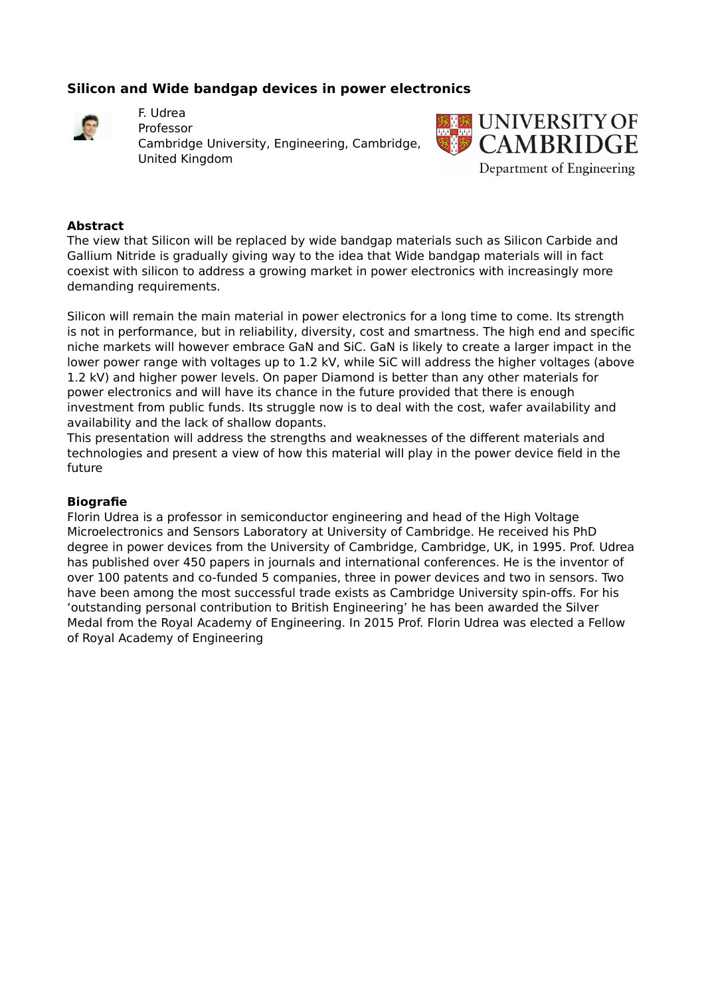# **Silicon and Wide bandgap devices in power electronics**



F. Udrea Professor

Cambridge University, Engineering, Cambridge, United Kingdom



## **Abstract**

The view that Silicon will be replaced by wide bandgap materials such as Silicon Carbide and Gallium Nitride is gradually giving way to the idea that Wide bandgap materials will in fact coexist with silicon to address a growing market in power electronics with increasingly more demanding requirements.

Silicon will remain the main material in power electronics for a long time to come. Its strength is not in performance, but in reliability, diversity, cost and smartness. The high end and specific niche markets will however embrace GaN and SiC. GaN is likely to create a larger impact in the lower power range with voltages up to 1.2 kV, while SiC will address the higher voltages (above 1.2 kV) and higher power levels. On paper Diamond is better than any other materials for power electronics and will have its chance in the future provided that there is enough investment from public funds. Its struggle now is to deal with the cost, wafer availability and availability and the lack of shallow dopants.

This presentation will address the strengths and weaknesses of the different materials and technologies and present a view of how this material will play in the power device field in the future

## **Biografie**

Florin Udrea is a professor in semiconductor engineering and head of the High Voltage Microelectronics and Sensors Laboratory at University of Cambridge. He received his PhD degree in power devices from the University of Cambridge, Cambridge, UK, in 1995. Prof. Udrea has published over 450 papers in journals and international conferences. He is the inventor of over 100 patents and co-funded 5 companies, three in power devices and two in sensors. Two have been among the most successful trade exists as Cambridge University spin-offs. For his 'outstanding personal contribution to British Engineering' he has been awarded the Silver Medal from the Royal Academy of Engineering. In 2015 Prof. Florin Udrea was elected a Fellow of Royal Academy of Engineering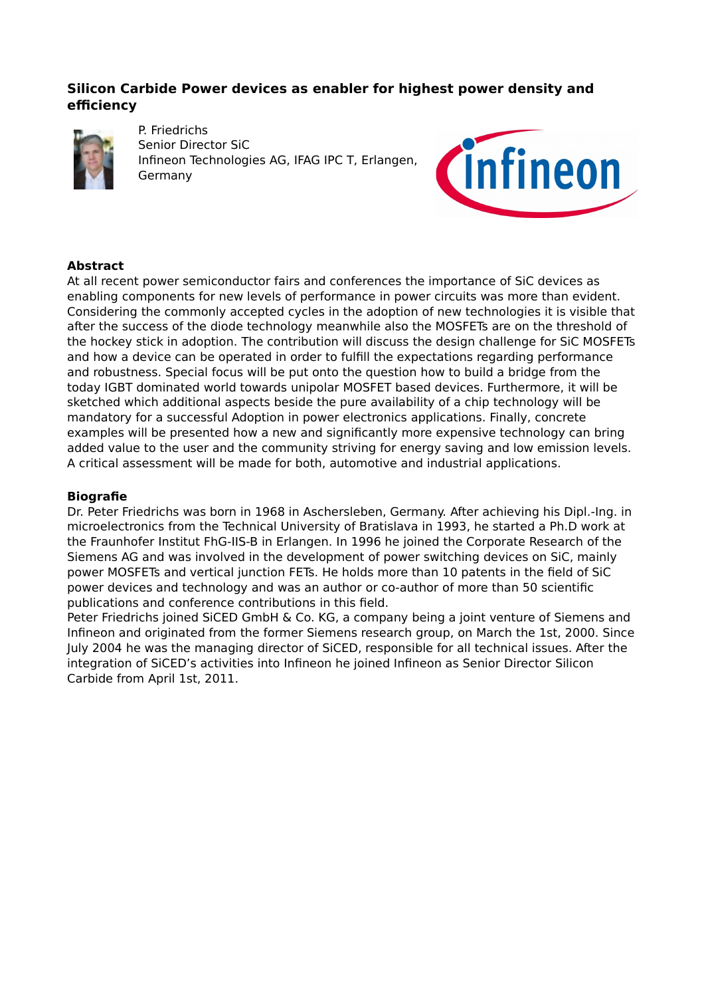# **Silicon Carbide Power devices as enabler for highest power density and efficiency**



P. Friedrichs Senior Director SiC Infineon Technologies AG, IFAG IPC T, Erlangen, Germany



## **Abstract**

At all recent power semiconductor fairs and conferences the importance of SiC devices as enabling components for new levels of performance in power circuits was more than evident. Considering the commonly accepted cycles in the adoption of new technologies it is visible that after the success of the diode technology meanwhile also the MOSFETs are on the threshold of the hockey stick in adoption. The contribution will discuss the design challenge for SiC MOSFETs and how a device can be operated in order to fulfill the expectations regarding performance and robustness. Special focus will be put onto the question how to build a bridge from the today IGBT dominated world towards unipolar MOSFET based devices. Furthermore, it will be sketched which additional aspects beside the pure availability of a chip technology will be mandatory for a successful Adoption in power electronics applications. Finally, concrete examples will be presented how a new and significantly more expensive technology can bring added value to the user and the community striving for energy saving and low emission levels. A critical assessment will be made for both, automotive and industrial applications.

### **Biografie**

Dr. Peter Friedrichs was born in 1968 in Aschersleben, Germany. After achieving his Dipl.-Ing. in microelectronics from the Technical University of Bratislava in 1993, he started a Ph.D work at the Fraunhofer Institut FhG-IIS-B in Erlangen. In 1996 he joined the Corporate Research of the Siemens AG and was involved in the development of power switching devices on SiC, mainly power MOSFETs and vertical junction FETs. He holds more than 10 patents in the field of SiC power devices and technology and was an author or co-author of more than 50 scientific publications and conference contributions in this field.

Peter Friedrichs joined SiCED GmbH & Co. KG, a company being a joint venture of Siemens and Infineon and originated from the former Siemens research group, on March the 1st, 2000. Since July 2004 he was the managing director of SiCED, responsible for all technical issues. After the integration of SiCED's activities into Infineon he joined Infineon as Senior Director Silicon Carbide from April 1st, 2011.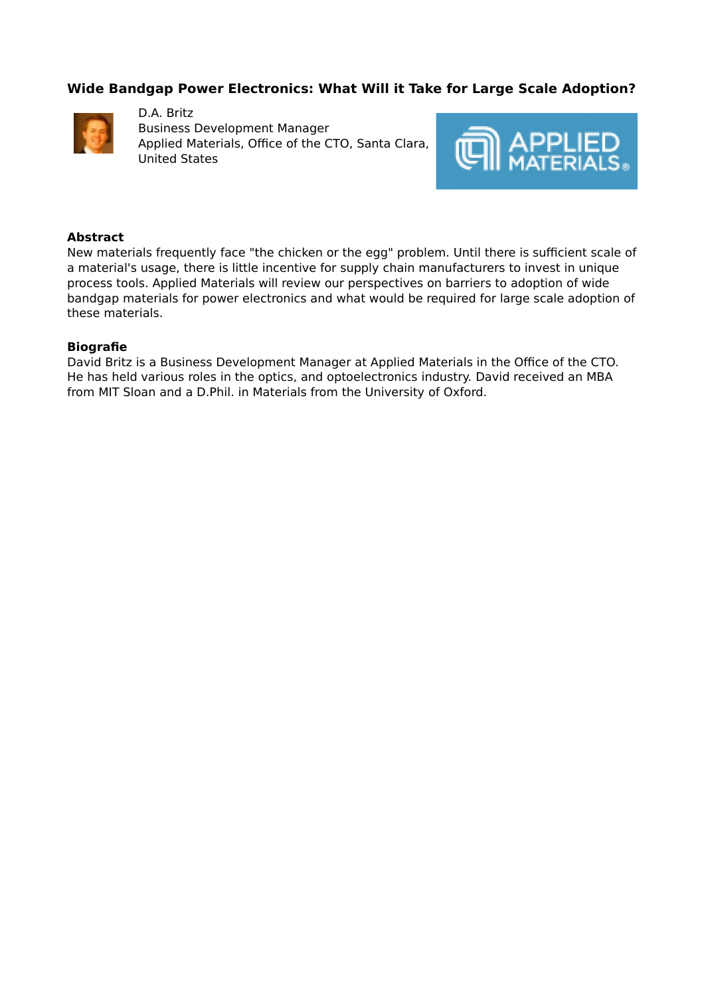# **Wide Bandgap Power Electronics: What Will it Take for Large Scale Adoption?**



D.A. Britz Business Development Manager Applied Materials, Office of the CTO, Santa Clara, United States



### **Abstract**

New materials frequently face "the chicken or the egg" problem. Until there is sufficient scale of a material's usage, there is little incentive for supply chain manufacturers to invest in unique process tools. Applied Materials will review our perspectives on barriers to adoption of wide bandgap materials for power electronics and what would be required for large scale adoption of these materials.

### **Biografie**

David Britz is a Business Development Manager at Applied Materials in the Office of the CTO. He has held various roles in the optics, and optoelectronics industry. David received an MBA from MIT Sloan and a D.Phil. in Materials from the University of Oxford.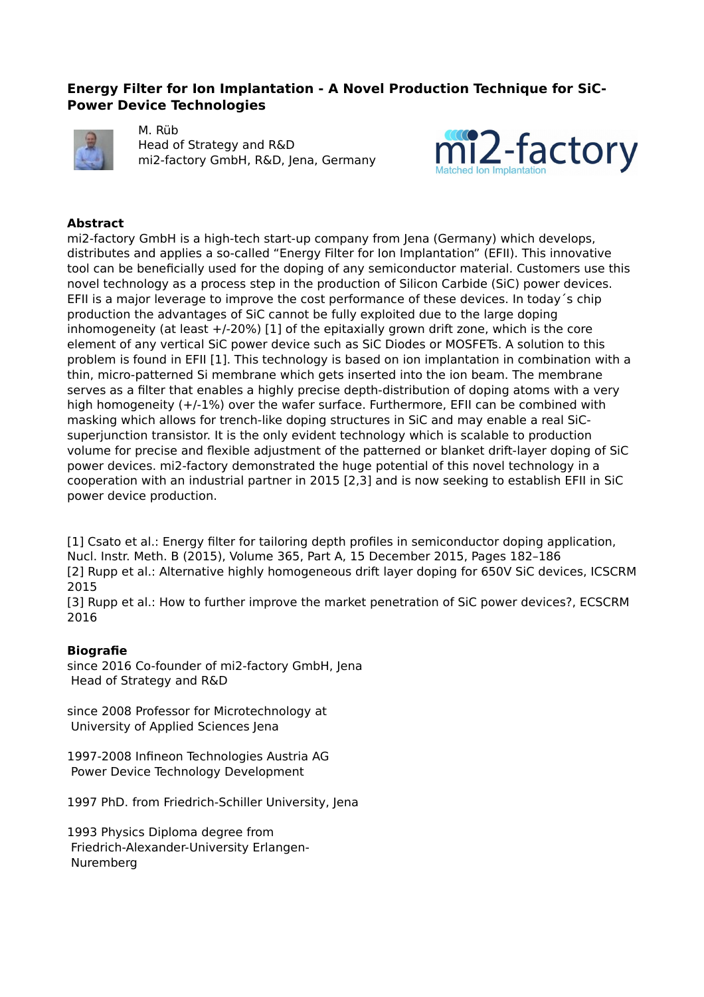## **Energy Filter for Ion Implantation - A Novel Production Technique for SiC-Power Device Technologies**



M. Rüb Head of Strategy and R&D mi2-factory GmbH, R&D, Jena, Germany



### **Abstract**

mi2-factory GmbH is a high-tech start-up company from Jena (Germany) which develops, distributes and applies a so-called "Energy Filter for Ion Implantation" (EFII). This innovative tool can be beneficially used for the doping of any semiconductor material. Customers use this novel technology as a process step in the production of Silicon Carbide (SiC) power devices. EFII is a major leverage to improve the cost performance of these devices. In today´s chip production the advantages of SiC cannot be fully exploited due to the large doping inhomogeneity (at least +/-20%) [1] of the epitaxially grown drift zone, which is the core element of any vertical SiC power device such as SiC Diodes or MOSFETs. A solution to this problem is found in EFII [1]. This technology is based on ion implantation in combination with a thin, micro-patterned Si membrane which gets inserted into the ion beam. The membrane serves as a filter that enables a highly precise depth-distribution of doping atoms with a very high homogeneity (+/-1%) over the wafer surface. Furthermore, EFII can be combined with masking which allows for trench-like doping structures in SiC and may enable a real SiCsuperjunction transistor. It is the only evident technology which is scalable to production volume for precise and flexible adjustment of the patterned or blanket drift-layer doping of SiC power devices. mi2-factory demonstrated the huge potential of this novel technology in a cooperation with an industrial partner in 2015 [2,3] and is now seeking to establish EFII in SiC power device production.

[1] Csato et al.: Energy filter for tailoring depth profiles in semiconductor doping application, Nucl. Instr. Meth. B (2015), Volume 365, Part A, 15 December 2015, Pages 182–186 [2] Rupp et al.: Alternative highly homogeneous drift layer doping for 650V SiC devices, ICSCRM 2015

[3] Rupp et al.: How to further improve the market penetration of SiC power devices?, ECSCRM 2016

### **Biografie**

since 2016 Co-founder of mi2-factory GmbH, Jena Head of Strategy and R&D

since 2008 Professor for Microtechnology at University of Applied Sciences Jena

1997-2008 Infineon Technologies Austria AG Power Device Technology Development

1997 PhD. from Friedrich-Schiller University, Jena

1993 Physics Diploma degree from Friedrich-Alexander-University Erlangen- Nuremberg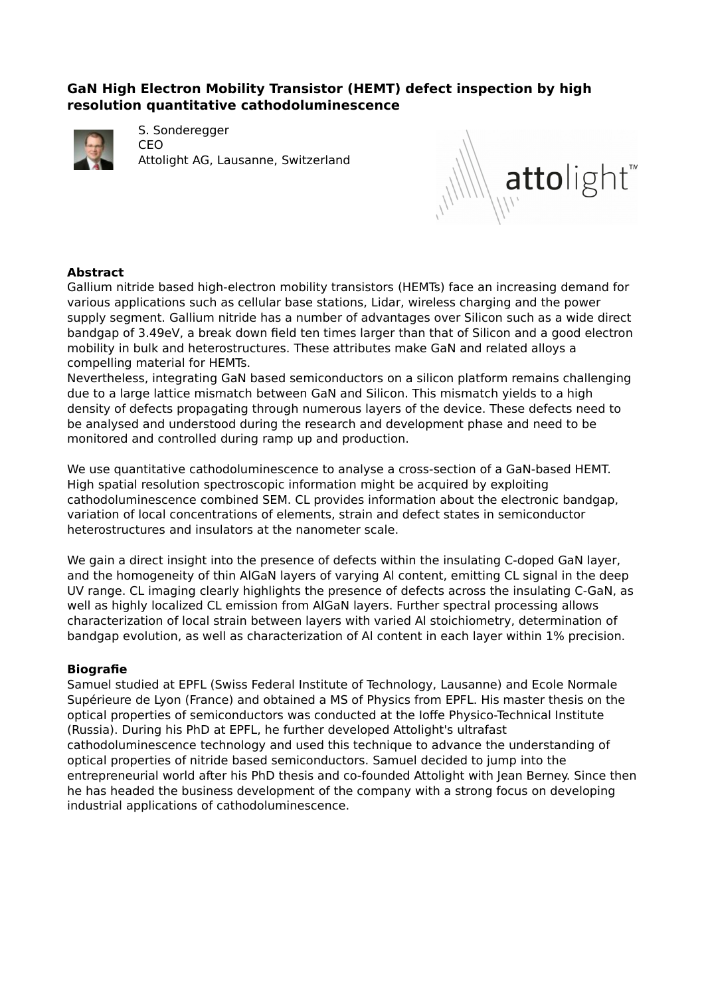# **GaN High Electron Mobility Transistor (HEMT) defect inspection by high resolution quantitative cathodoluminescence**



S. Sonderegger CEO Attolight AG, Lausanne, Switzerland



## **Abstract**

Gallium nitride based high-electron mobility transistors (HEMTs) face an increasing demand for various applications such as cellular base stations, Lidar, wireless charging and the power supply segment. Gallium nitride has a number of advantages over Silicon such as a wide direct bandgap of 3.49eV, a break down field ten times larger than that of Silicon and a good electron mobility in bulk and heterostructures. These attributes make GaN and related alloys a compelling material for HEMTs.

Nevertheless, integrating GaN based semiconductors on a silicon platform remains challenging due to a large lattice mismatch between GaN and Silicon. This mismatch yields to a high density of defects propagating through numerous layers of the device. These defects need to be analysed and understood during the research and development phase and need to be monitored and controlled during ramp up and production.

We use quantitative cathodoluminescence to analyse a cross-section of a GaN-based HEMT. High spatial resolution spectroscopic information might be acquired by exploiting cathodoluminescence combined SEM. CL provides information about the electronic bandgap, variation of local concentrations of elements, strain and defect states in semiconductor heterostructures and insulators at the nanometer scale.

We gain a direct insight into the presence of defects within the insulating C-doped GaN layer, and the homogeneity of thin AlGaN layers of varying Al content, emitting CL signal in the deep UV range. CL imaging clearly highlights the presence of defects across the insulating C-GaN, as well as highly localized CL emission from AlGaN layers. Further spectral processing allows characterization of local strain between layers with varied Al stoichiometry, determination of bandgap evolution, as well as characterization of Al content in each layer within 1% precision.

### **Biografie**

Samuel studied at EPFL (Swiss Federal Institute of Technology, Lausanne) and Ecole Normale Supérieure de Lyon (France) and obtained a MS of Physics from EPFL. His master thesis on the optical properties of semiconductors was conducted at the Ioffe Physico-Technical Institute (Russia). During his PhD at EPFL, he further developed Attolight's ultrafast cathodoluminescence technology and used this technique to advance the understanding of optical properties of nitride based semiconductors. Samuel decided to jump into the entrepreneurial world after his PhD thesis and co-founded Attolight with Jean Berney. Since then he has headed the business development of the company with a strong focus on developing industrial applications of cathodoluminescence.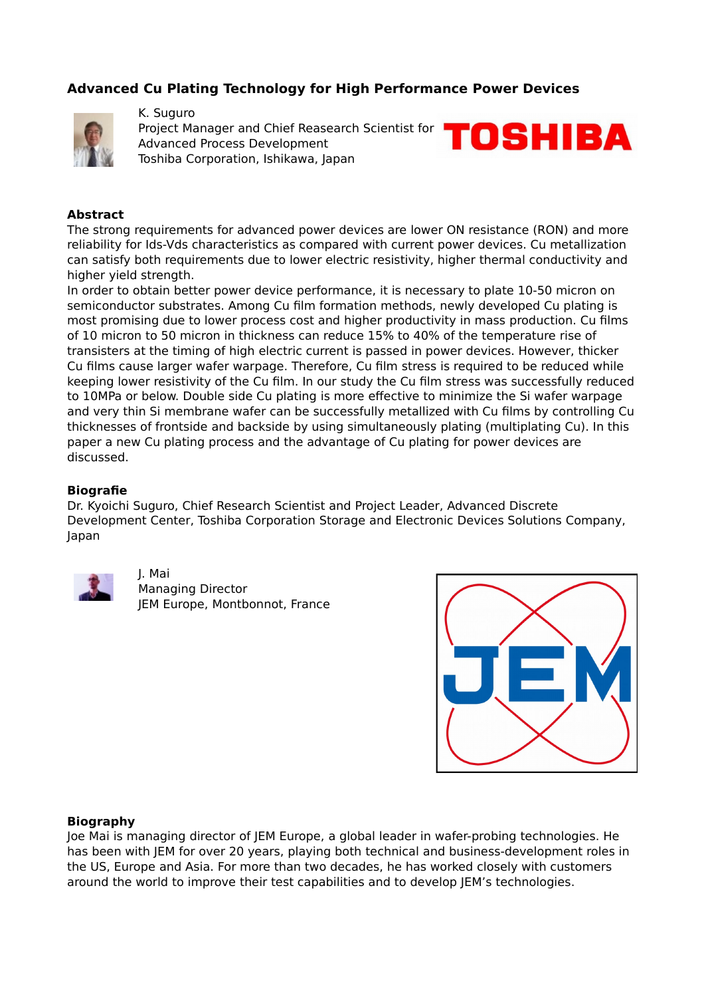# **Advanced Cu Plating Technology for High Performance Power Devices**



K. Suguro Project Manager and Chief Reasearch Scientist for Advanced Process Development Toshiba Corporation, Ishikawa, Japan



### **Abstract**

The strong requirements for advanced power devices are lower ON resistance (RON) and more reliability for Ids-Vds characteristics as compared with current power devices. Cu metallization can satisfy both requirements due to lower electric resistivity, higher thermal conductivity and higher yield strength.

In order to obtain better power device performance, it is necessary to plate 10-50 micron on semiconductor substrates. Among Cu film formation methods, newly developed Cu plating is most promising due to lower process cost and higher productivity in mass production. Cu films of 10 micron to 50 micron in thickness can reduce 15% to 40% of the temperature rise of transisters at the timing of high electric current is passed in power devices. However, thicker Cu films cause larger wafer warpage. Therefore, Cu film stress is required to be reduced while keeping lower resistivity of the Cu film. In our study the Cu film stress was successfully reduced to 10MPa or below. Double side Cu plating is more effective to minimize the Si wafer warpage and very thin Si membrane wafer can be successfully metallized with Cu films by controlling Cu thicknesses of frontside and backside by using simultaneously plating (multiplating Cu). In this paper a new Cu plating process and the advantage of Cu plating for power devices are discussed.

### **Biografie**

Dr. Kyoichi Suguro, Chief Research Scientist and Project Leader, Advanced Discrete Development Center, Toshiba Corporation Storage and Electronic Devices Solutions Company, Japan



J. Mai Managing Director JEM Europe, Montbonnot, France



### **Biography**

Joe Mai is managing director of JEM Europe, a global leader in wafer-probing technologies. He has been with JEM for over 20 years, playing both technical and business-development roles in the US, Europe and Asia. For more than two decades, he has worked closely with customers around the world to improve their test capabilities and to develop JEM's technologies.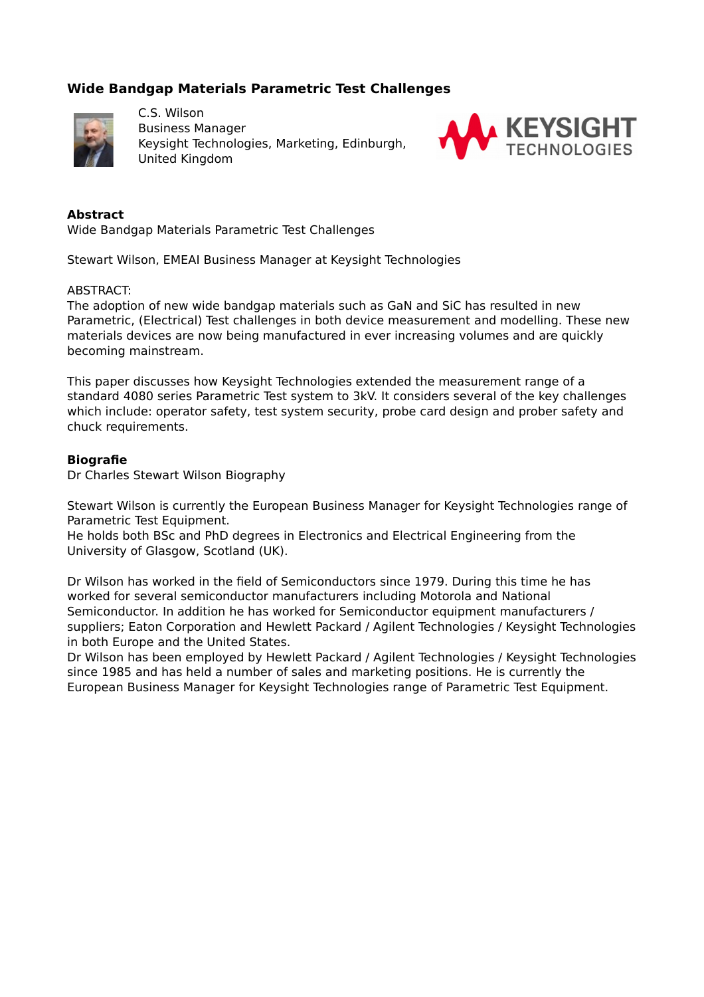# **Wide Bandgap Materials Parametric Test Challenges**



C.S. Wilson Business Manager Keysight Technologies, Marketing, Edinburgh, United Kingdom



### **Abstract**

Wide Bandgap Materials Parametric Test Challenges

Stewart Wilson, EMEAI Business Manager at Keysight Technologies

### ABSTRACT:

The adoption of new wide bandgap materials such as GaN and SiC has resulted in new Parametric, (Electrical) Test challenges in both device measurement and modelling. These new materials devices are now being manufactured in ever increasing volumes and are quickly becoming mainstream.

This paper discusses how Keysight Technologies extended the measurement range of a standard 4080 series Parametric Test system to 3kV. It considers several of the key challenges which include: operator safety, test system security, probe card design and prober safety and chuck requirements.

### **Biografie**

Dr Charles Stewart Wilson Biography

Stewart Wilson is currently the European Business Manager for Keysight Technologies range of Parametric Test Equipment.

He holds both BSc and PhD degrees in Electronics and Electrical Engineering from the University of Glasgow, Scotland (UK).

Dr Wilson has worked in the field of Semiconductors since 1979. During this time he has worked for several semiconductor manufacturers including Motorola and National Semiconductor. In addition he has worked for Semiconductor equipment manufacturers / suppliers; Eaton Corporation and Hewlett Packard / Agilent Technologies / Keysight Technologies in both Europe and the United States.

Dr Wilson has been employed by Hewlett Packard / Agilent Technologies / Keysight Technologies since 1985 and has held a number of sales and marketing positions. He is currently the European Business Manager for Keysight Technologies range of Parametric Test Equipment.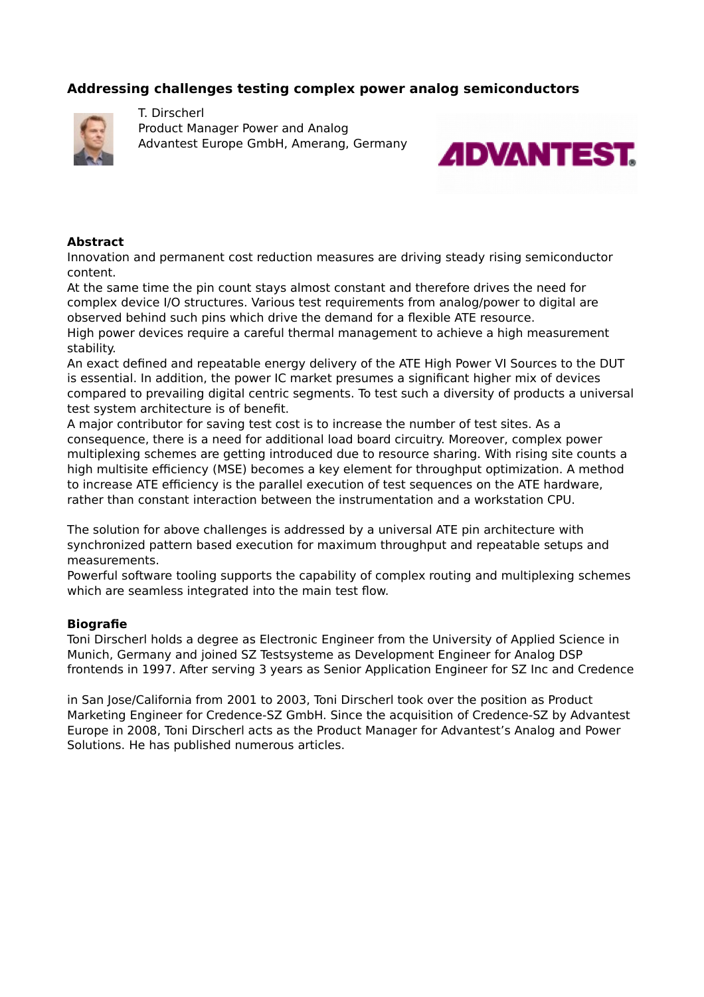# **Addressing challenges testing complex power analog semiconductors**



T. Dirscherl Product Manager Power and Analog Advantest Europe GmbH, Amerang, Germany



### **Abstract**

Innovation and permanent cost reduction measures are driving steady rising semiconductor content.

At the same time the pin count stays almost constant and therefore drives the need for complex device I/O structures. Various test requirements from analog/power to digital are observed behind such pins which drive the demand for a flexible ATE resource.

High power devices require a careful thermal management to achieve a high measurement stability.

An exact defined and repeatable energy delivery of the ATE High Power VI Sources to the DUT is essential. In addition, the power IC market presumes a significant higher mix of devices compared to prevailing digital centric segments. To test such a diversity of products a universal test system architecture is of benefit.

A major contributor for saving test cost is to increase the number of test sites. As a consequence, there is a need for additional load board circuitry. Moreover, complex power multiplexing schemes are getting introduced due to resource sharing. With rising site counts a high multisite efficiency (MSE) becomes a key element for throughput optimization. A method to increase ATE efficiency is the parallel execution of test sequences on the ATE hardware, rather than constant interaction between the instrumentation and a workstation CPU.

The solution for above challenges is addressed by a universal ATE pin architecture with synchronized pattern based execution for maximum throughput and repeatable setups and measurements.

Powerful software tooling supports the capability of complex routing and multiplexing schemes which are seamless integrated into the main test flow.

### **Biografie**

Toni Dirscherl holds a degree as Electronic Engineer from the University of Applied Science in Munich, Germany and joined SZ Testsysteme as Development Engineer for Analog DSP frontends in 1997. After serving 3 years as Senior Application Engineer for SZ Inc and Credence

in San Jose/California from 2001 to 2003, Toni Dirscherl took over the position as Product Marketing Engineer for Credence-SZ GmbH. Since the acquisition of Credence-SZ by Advantest Europe in 2008, Toni Dirscherl acts as the Product Manager for Advantest's Analog and Power Solutions. He has published numerous articles.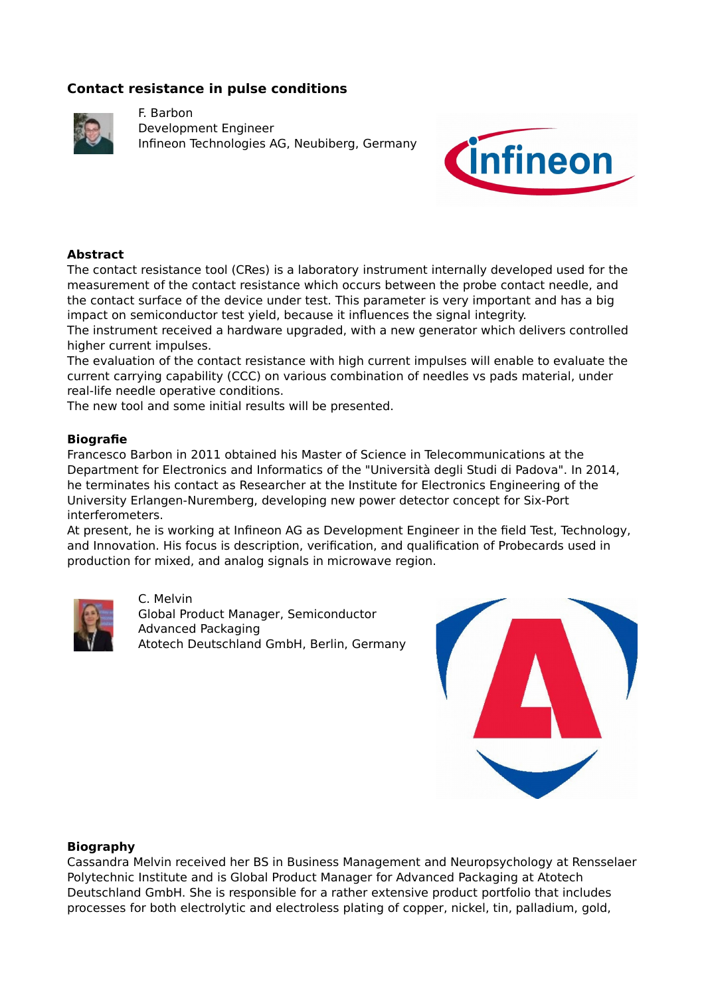# **Contact resistance in pulse conditions**



F. Barbon Development Engineer Infineon Technologies AG, Neubiberg, Germany



## **Abstract**

The contact resistance tool (CRes) is a laboratory instrument internally developed used for the measurement of the contact resistance which occurs between the probe contact needle, and the contact surface of the device under test. This parameter is very important and has a big impact on semiconductor test yield, because it influences the signal integrity.

The instrument received a hardware upgraded, with a new generator which delivers controlled higher current impulses.

The evaluation of the contact resistance with high current impulses will enable to evaluate the current carrying capability (CCC) on various combination of needles vs pads material, under real-life needle operative conditions.

The new tool and some initial results will be presented.

### **Biografie**

Francesco Barbon in 2011 obtained his Master of Science in Telecommunications at the Department for Electronics and Informatics of the "Università degli Studi di Padova". In 2014, he terminates his contact as Researcher at the Institute for Electronics Engineering of the University Erlangen-Nuremberg, developing new power detector concept for Six-Port interferometers.

At present, he is working at Infineon AG as Development Engineer in the field Test, Technology, and Innovation. His focus is description, verification, and qualification of Probecards used in production for mixed, and analog signals in microwave region.



C. Melvin Global Product Manager, Semiconductor Advanced Packaging Atotech Deutschland GmbH, Berlin, Germany



### **Biography**

Cassandra Melvin received her BS in Business Management and Neuropsychology at Rensselaer Polytechnic Institute and is Global Product Manager for Advanced Packaging at Atotech Deutschland GmbH. She is responsible for a rather extensive product portfolio that includes processes for both electrolytic and electroless plating of copper, nickel, tin, palladium, gold,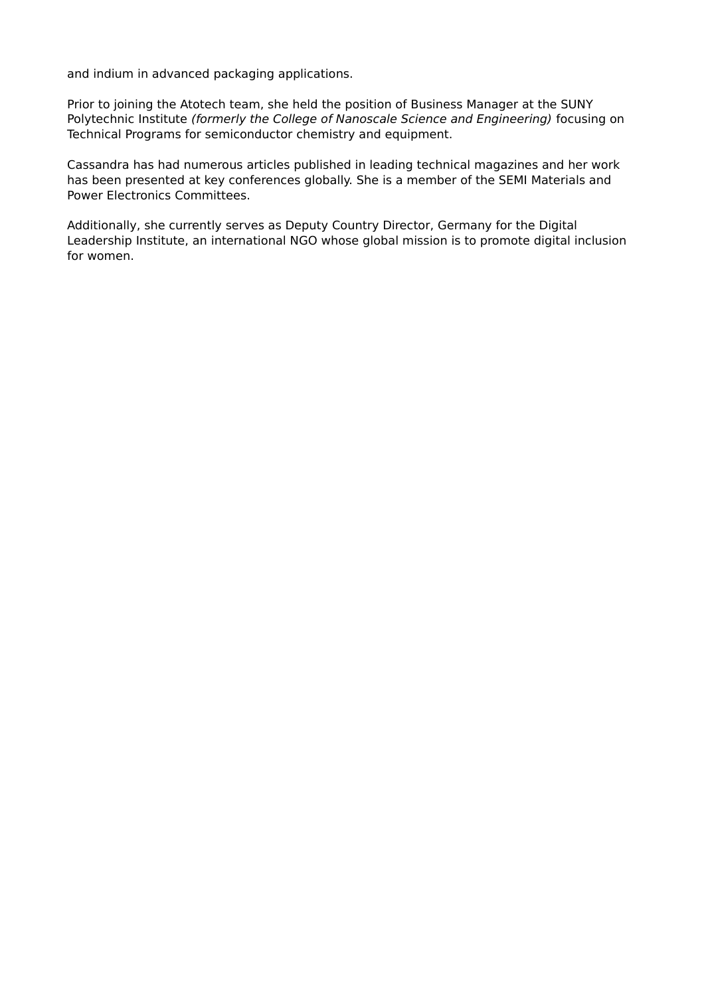and indium in advanced packaging applications.

Prior to joining the Atotech team, she held the position of Business Manager at the SUNY Polytechnic Institute (formerly the College of Nanoscale Science and Engineering) focusing on Technical Programs for semiconductor chemistry and equipment.

Cassandra has had numerous articles published in leading technical magazines and her work has been presented at key conferences globally. She is a member of the SEMI Materials and Power Electronics Committees.

Additionally, she currently serves as Deputy Country Director, Germany for the Digital Leadership Institute, an international NGO whose global mission is to promote digital inclusion for women.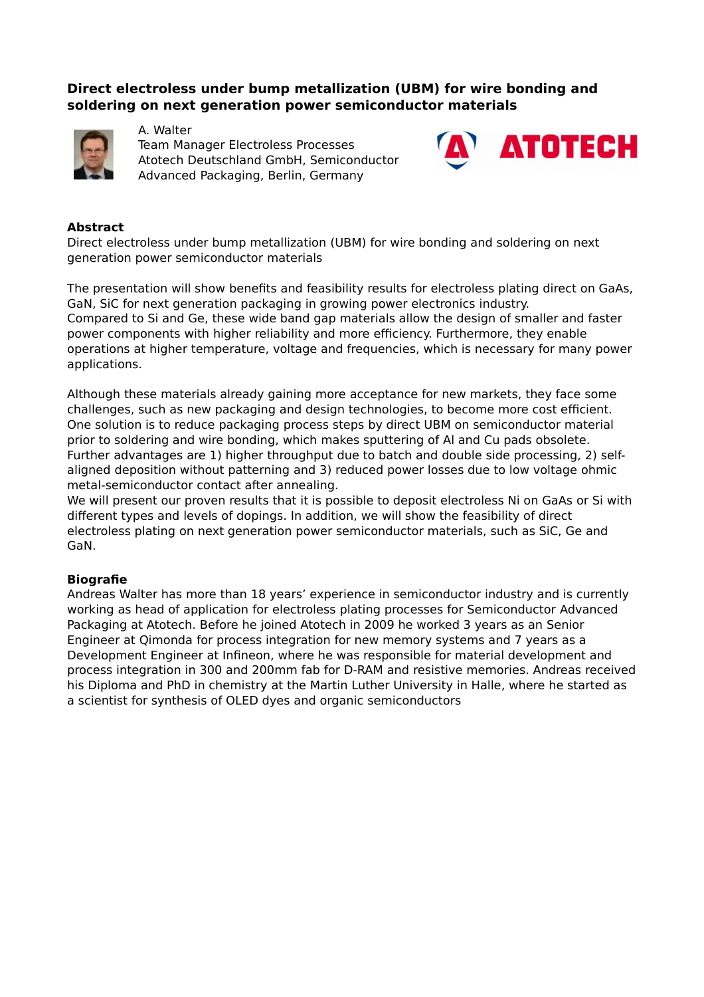# **Direct electroless under bump metallization (UBM) for wire bonding and soldering on next generation power semiconductor materials**



A. Walter Team Manager Electroless Processes Atotech Deutschland GmbH, Semiconductor Advanced Packaging, Berlin, Germany



## **Abstract**

Direct electroless under bump metallization (UBM) for wire bonding and soldering on next generation power semiconductor materials

The presentation will show benefits and feasibility results for electroless plating direct on GaAs, GaN, SiC for next generation packaging in growing power electronics industry. Compared to Si and Ge, these wide band gap materials allow the design of smaller and faster power components with higher reliability and more efficiency. Furthermore, they enable operations at higher temperature, voltage and frequencies, which is necessary for many power applications.

Although these materials already gaining more acceptance for new markets, they face some challenges, such as new packaging and design technologies, to become more cost efficient. One solution is to reduce packaging process steps by direct UBM on semiconductor material prior to soldering and wire bonding, which makes sputtering of Al and Cu pads obsolete. Further advantages are 1) higher throughput due to batch and double side processing, 2) selfaligned deposition without patterning and 3) reduced power losses due to low voltage ohmic metal-semiconductor contact after annealing.

We will present our proven results that it is possible to deposit electroless Ni on GaAs or Si with different types and levels of dopings. In addition, we will show the feasibility of direct electroless plating on next generation power semiconductor materials, such as SiC, Ge and GaN.

## **Biografie**

Andreas Walter has more than 18 years' experience in semiconductor industry and is currently working as head of application for electroless plating processes for Semiconductor Advanced Packaging at Atotech. Before he joined Atotech in 2009 he worked 3 years as an Senior Engineer at Qimonda for process integration for new memory systems and 7 years as a Development Engineer at Infineon, where he was responsible for material development and process integration in 300 and 200mm fab for D-RAM and resistive memories. Andreas received his Diploma and PhD in chemistry at the Martin Luther University in Halle, where he started as a scientist for synthesis of OLED dyes and organic semiconductors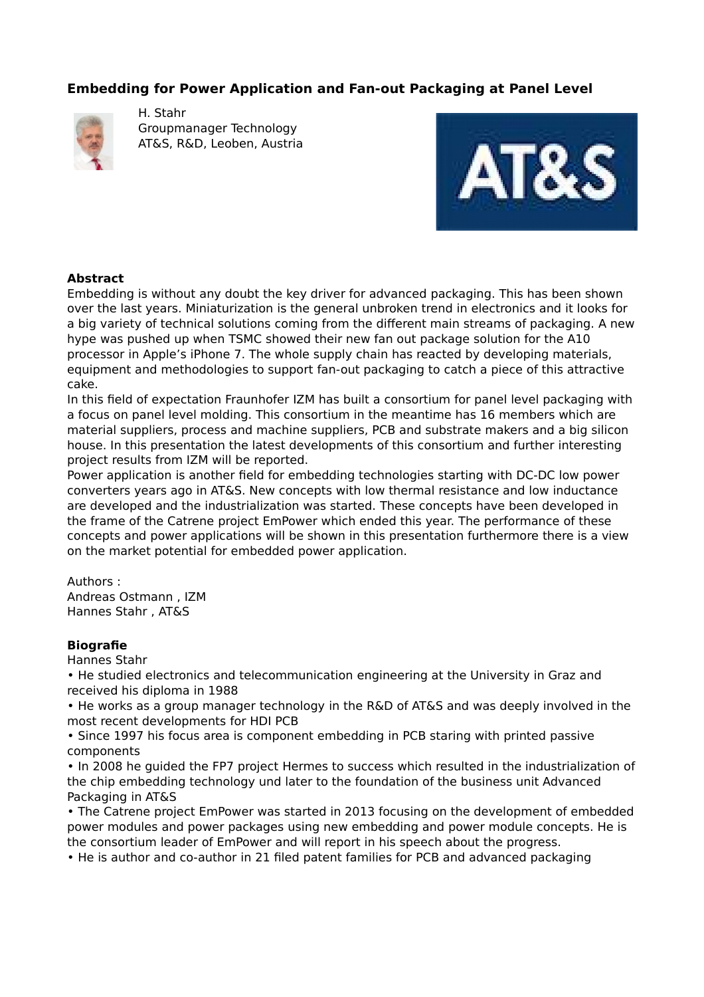# **Embedding for Power Application and Fan-out Packaging at Panel Level**



H. Stahr Groupmanager Technology AT&S, R&D, Leoben, Austria



## **Abstract**

Embedding is without any doubt the key driver for advanced packaging. This has been shown over the last years. Miniaturization is the general unbroken trend in electronics and it looks for a big variety of technical solutions coming from the different main streams of packaging. A new hype was pushed up when TSMC showed their new fan out package solution for the A10 processor in Apple's iPhone 7. The whole supply chain has reacted by developing materials, equipment and methodologies to support fan-out packaging to catch a piece of this attractive cake.

In this field of expectation Fraunhofer IZM has built a consortium for panel level packaging with a focus on panel level molding. This consortium in the meantime has 16 members which are material suppliers, process and machine suppliers, PCB and substrate makers and a big silicon house. In this presentation the latest developments of this consortium and further interesting project results from IZM will be reported.

Power application is another field for embedding technologies starting with DC-DC low power converters years ago in AT&S. New concepts with low thermal resistance and low inductance are developed and the industrialization was started. These concepts have been developed in the frame of the Catrene project EmPower which ended this year. The performance of these concepts and power applications will be shown in this presentation furthermore there is a view on the market potential for embedded power application.

Authors :

Andreas Ostmann , IZM Hannes Stahr , AT&S

## **Biografie**

Hannes Stahr

• He studied electronics and telecommunication engineering at the University in Graz and received his diploma in 1988

• He works as a group manager technology in the R&D of AT&S and was deeply involved in the most recent developments for HDI PCB

• Since 1997 his focus area is component embedding in PCB staring with printed passive components

• In 2008 he guided the FP7 project Hermes to success which resulted in the industrialization of the chip embedding technology und later to the foundation of the business unit Advanced Packaging in AT&S

• The Catrene project EmPower was started in 2013 focusing on the development of embedded power modules and power packages using new embedding and power module concepts. He is the consortium leader of EmPower and will report in his speech about the progress.

• He is author and co-author in 21 filed patent families for PCB and advanced packaging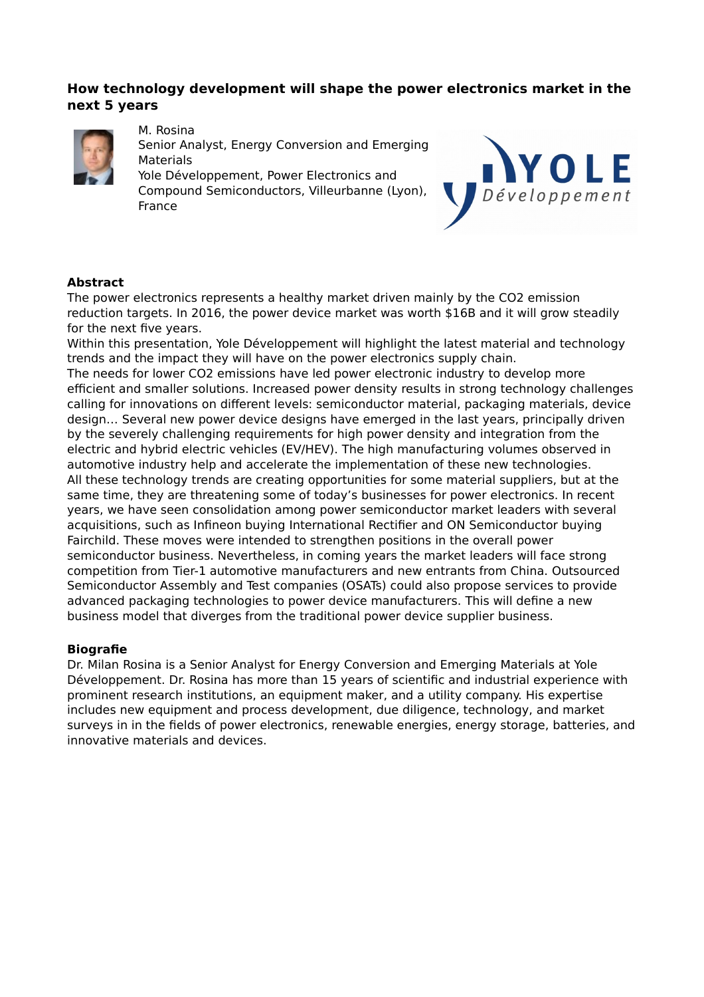# **How technology development will shape the power electronics market in the next 5 years**



M. Rosina

Senior Analyst, Energy Conversion and Emerging **Materials** 

Yole Développement, Power Electronics and Compound Semiconductors, Villeurbanne (Lyon), France



## **Abstract**

The power electronics represents a healthy market driven mainly by the CO2 emission reduction targets. In 2016, the power device market was worth \$16B and it will grow steadily for the next five years.

Within this presentation, Yole Développement will highlight the latest material and technology trends and the impact they will have on the power electronics supply chain.

The needs for lower CO2 emissions have led power electronic industry to develop more efficient and smaller solutions. Increased power density results in strong technology challenges calling for innovations on different levels: semiconductor material, packaging materials, device design… Several new power device designs have emerged in the last years, principally driven by the severely challenging requirements for high power density and integration from the electric and hybrid electric vehicles (EV/HEV). The high manufacturing volumes observed in automotive industry help and accelerate the implementation of these new technologies. All these technology trends are creating opportunities for some material suppliers, but at the same time, they are threatening some of today's businesses for power electronics. In recent years, we have seen consolidation among power semiconductor market leaders with several acquisitions, such as Infineon buying International Rectifier and ON Semiconductor buying Fairchild. These moves were intended to strengthen positions in the overall power semiconductor business. Nevertheless, in coming years the market leaders will face strong competition from Tier-1 automotive manufacturers and new entrants from China. Outsourced Semiconductor Assembly and Test companies (OSATs) could also propose services to provide advanced packaging technologies to power device manufacturers. This will define a new business model that diverges from the traditional power device supplier business.

## **Biografie**

Dr. Milan Rosina is a Senior Analyst for Energy Conversion and Emerging Materials at Yole Développement. Dr. Rosina has more than 15 years of scientific and industrial experience with prominent research institutions, an equipment maker, and a utility company. His expertise includes new equipment and process development, due diligence, technology, and market surveys in in the fields of power electronics, renewable energies, energy storage, batteries, and innovative materials and devices.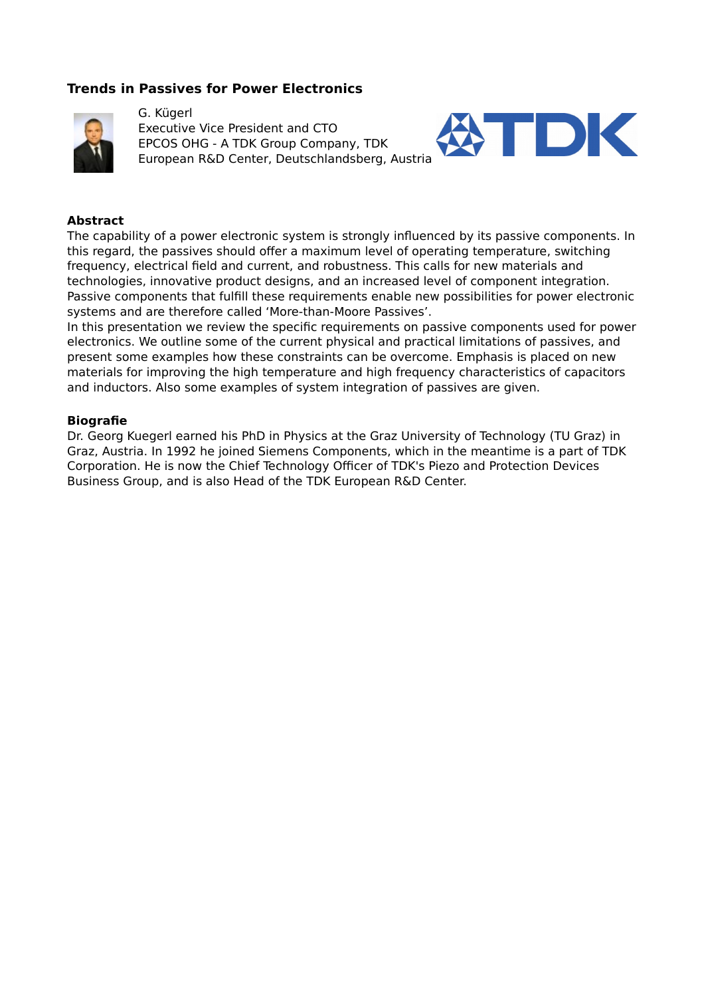# **Trends in Passives for Power Electronics**



G. Kügerl Executive Vice President and CTO EPCOS OHG - A TDK Group Company, TDK European R&D Center, Deutschlandsberg, Austria



### **Abstract**

The capability of a power electronic system is strongly influenced by its passive components. In this regard, the passives should offer a maximum level of operating temperature, switching frequency, electrical field and current, and robustness. This calls for new materials and technologies, innovative product designs, and an increased level of component integration. Passive components that fulfill these requirements enable new possibilities for power electronic systems and are therefore called 'More-than-Moore Passives'.

In this presentation we review the specific requirements on passive components used for power electronics. We outline some of the current physical and practical limitations of passives, and present some examples how these constraints can be overcome. Emphasis is placed on new materials for improving the high temperature and high frequency characteristics of capacitors and inductors. Also some examples of system integration of passives are given.

#### **Biografie**

Dr. Georg Kuegerl earned his PhD in Physics at the Graz University of Technology (TU Graz) in Graz, Austria. In 1992 he joined Siemens Components, which in the meantime is a part of TDK Corporation. He is now the Chief Technology Officer of TDK's Piezo and Protection Devices Business Group, and is also Head of the TDK European R&D Center.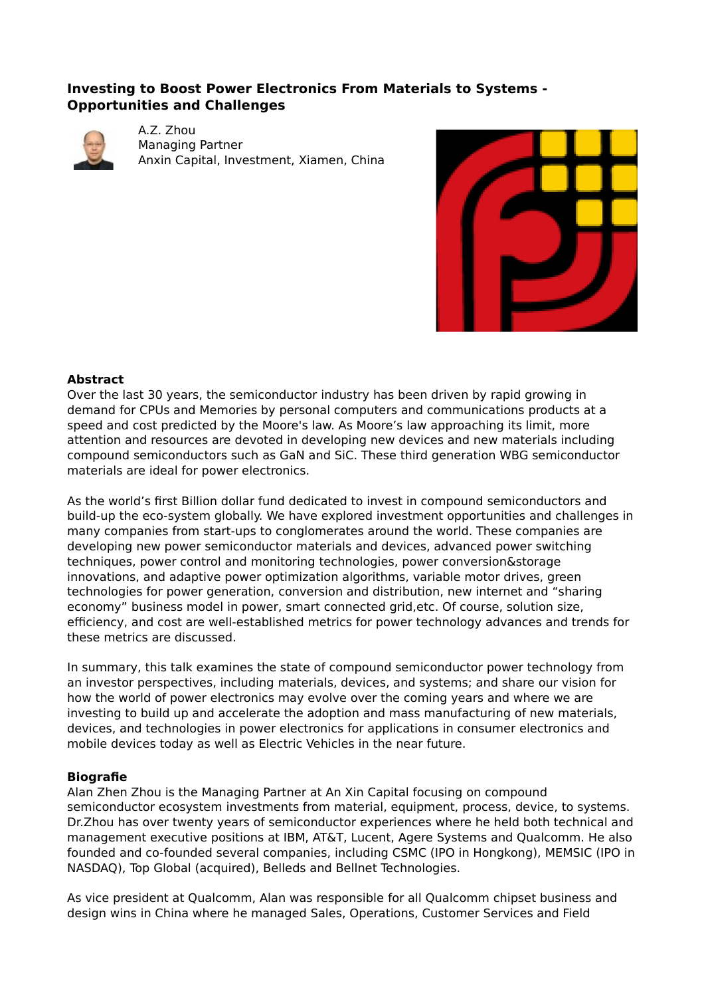# **Investing to Boost Power Electronics From Materials to Systems - Opportunities and Challenges**



A.Z. Zhou Managing Partner Anxin Capital, Investment, Xiamen, China



### **Abstract**

Over the last 30 years, the semiconductor industry has been driven by rapid growing in demand for CPUs and Memories by personal computers and communications products at a speed and cost predicted by the Moore's law. As Moore's law approaching its limit, more attention and resources are devoted in developing new devices and new materials including compound semiconductors such as GaN and SiC. These third generation WBG semiconductor materials are ideal for power electronics.

As the world's first Billion dollar fund dedicated to invest in compound semiconductors and build-up the eco-system globally. We have explored investment opportunities and challenges in many companies from start-ups to conglomerates around the world. These companies are developing new power semiconductor materials and devices, advanced power switching techniques, power control and monitoring technologies, power conversion&storage innovations, and adaptive power optimization algorithms, variable motor drives, green technologies for power generation, conversion and distribution, new internet and "sharing economy" business model in power, smart connected grid,etc. Of course, solution size, efficiency, and cost are well-established metrics for power technology advances and trends for these metrics are discussed.

In summary, this talk examines the state of compound semiconductor power technology from an investor perspectives, including materials, devices, and systems; and share our vision for how the world of power electronics may evolve over the coming years and where we are investing to build up and accelerate the adoption and mass manufacturing of new materials, devices, and technologies in power electronics for applications in consumer electronics and mobile devices today as well as Electric Vehicles in the near future.

## **Biografie**

Alan Zhen Zhou is the Managing Partner at An Xin Capital focusing on compound semiconductor ecosystem investments from material, equipment, process, device, to systems. Dr.Zhou has over twenty years of semiconductor experiences where he held both technical and management executive positions at IBM, AT&T, Lucent, Agere Systems and Qualcomm. He also founded and co-founded several companies, including CSMC (IPO in Hongkong), MEMSIC (IPO in NASDAQ), Top Global (acquired), Belleds and Bellnet Technologies.

As vice president at Qualcomm, Alan was responsible for all Qualcomm chipset business and design wins in China where he managed Sales, Operations, Customer Services and Field